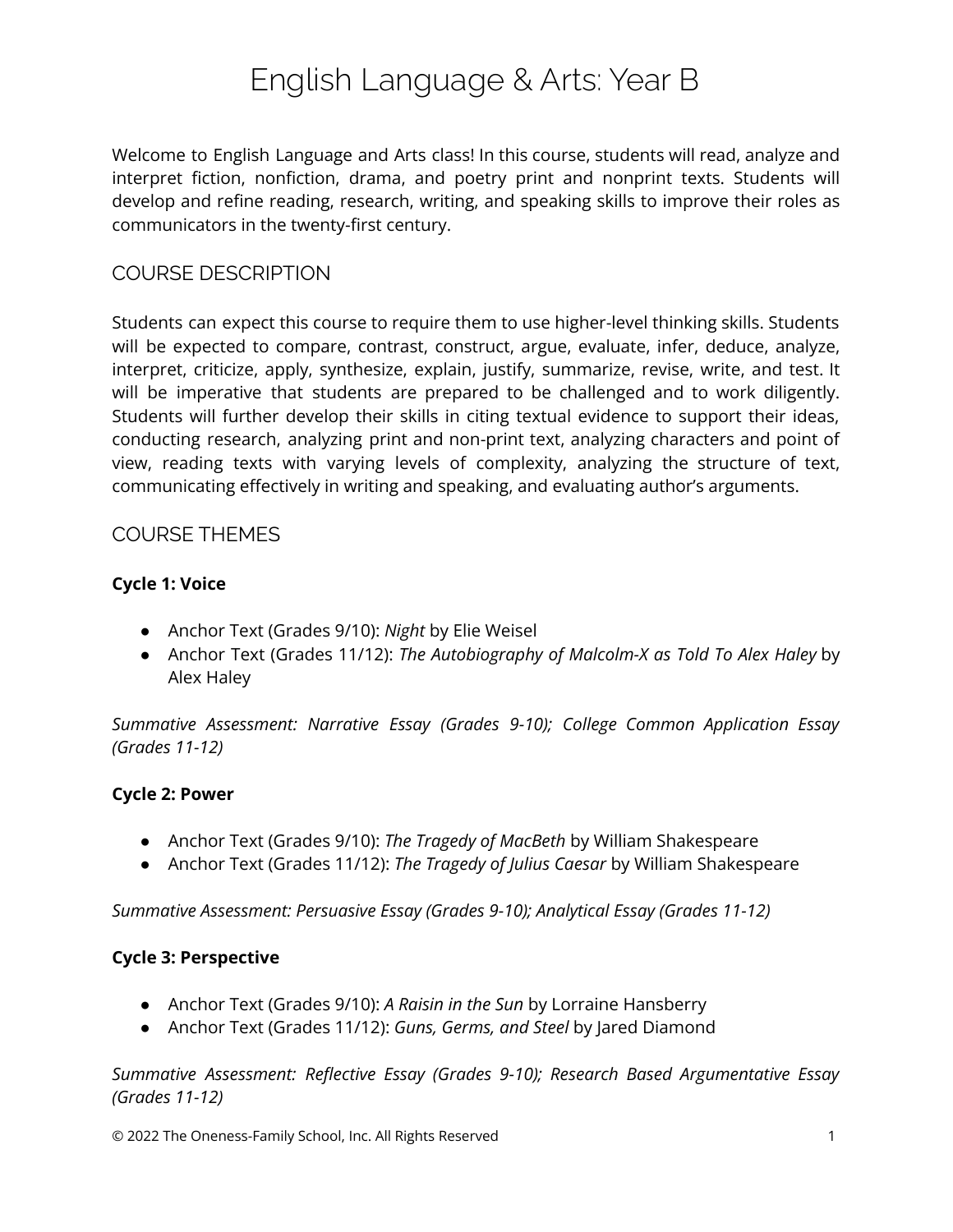# English Language & Arts: Year B

Welcome to English Language and Arts class! In this course, students will read, analyze and interpret fiction, nonfiction, drama, and poetry print and nonprint texts. Students will develop and refine reading, research, writing, and speaking skills to improve their roles as communicators in the twenty-first century.

## COURSE DESCRIPTION

Students can expect this course to require them to use higher-level thinking skills. Students will be expected to compare, contrast, construct, argue, evaluate, infer, deduce, analyze, interpret, criticize, apply, synthesize, explain, justify, summarize, revise, write, and test. It will be imperative that students are prepared to be challenged and to work diligently. Students will further develop their skills in citing textual evidence to support their ideas, conducting research, analyzing print and non-print text, analyzing characters and point of view, reading texts with varying levels of complexity, analyzing the structure of text, communicating effectively in writing and speaking, and evaluating author's arguments.

### COURSE THEMES

### **Cycle 1: Voice**

- Anchor Text (Grades 9/10): *Night* by Elie Weisel
- Anchor Text (Grades 11/12): *The Autobiography of Malcolm-X as Told To Alex Haley* by Alex Haley

*Summative Assessment: Narrative Essay (Grades 9-10); College Common Application Essay (Grades 11-12)*

#### **Cycle 2: Power**

- Anchor Text (Grades 9/10): *The Tragedy of MacBeth* by William Shakespeare
- Anchor Text (Grades 11/12): *The Tragedy of Julius Caesar* by William Shakespeare

*Summative Assessment: Persuasive Essay (Grades 9-10); Analytical Essay (Grades 11-12)*

#### **Cycle 3: Perspective**

- Anchor Text (Grades 9/10): *A Raisin in the Sun* by Lorraine Hansberry
- Anchor Text (Grades 11/12): *Guns, Germs, and Steel* by Jared Diamond

*Summative Assessment: Reflective Essay (Grades 9-10); Research Based Argumentative Essay (Grades 11-12)*

© 2022 The Oneness-Family School, Inc. All Rights Reserved 1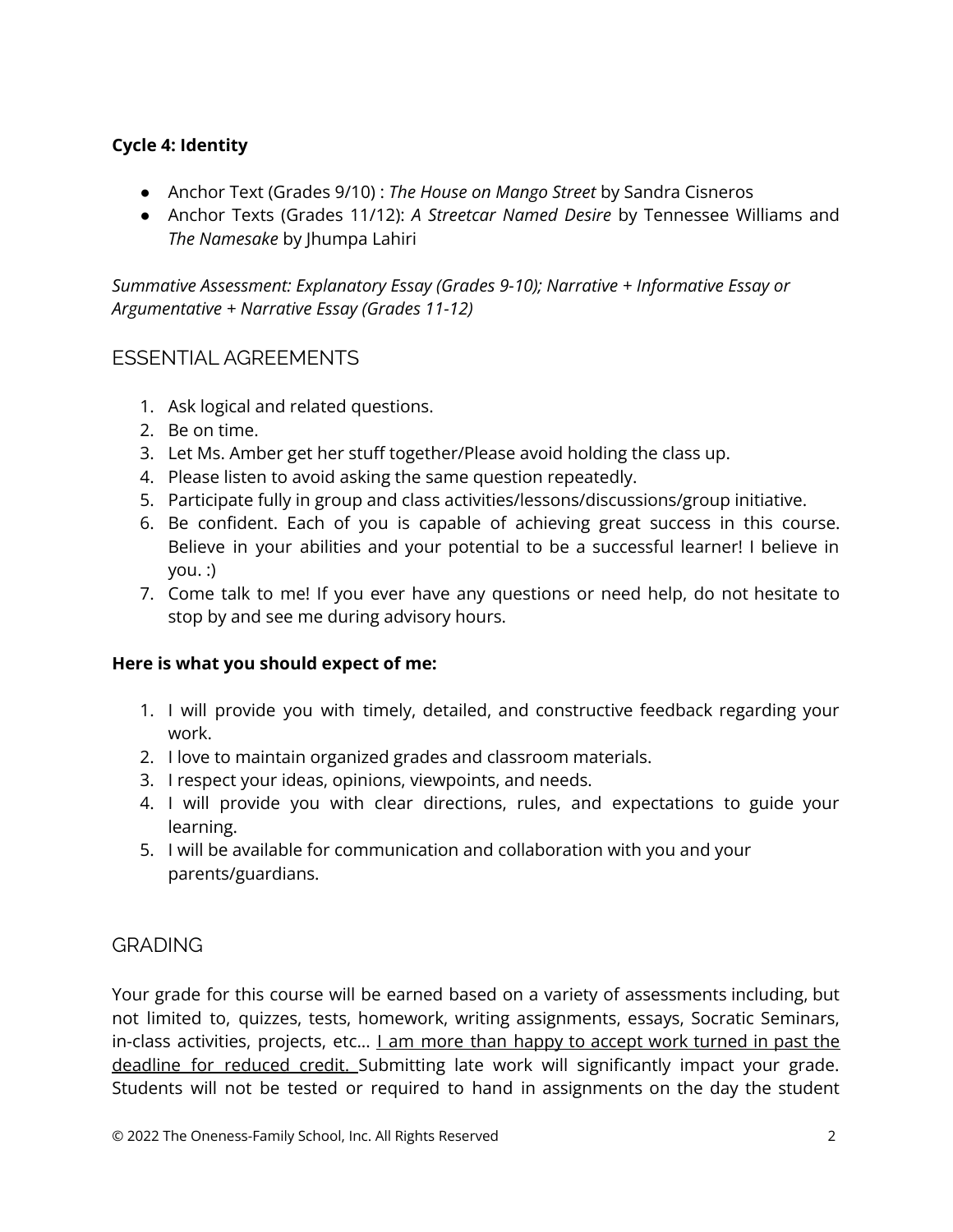## **Cycle 4: Identity**

- Anchor Text (Grades 9/10) : *The House on Mango Street* by Sandra Cisneros
- Anchor Texts (Grades 11/12): *A Streetcar Named Desire* by Tennessee Williams and *The Namesake* by Jhumpa Lahiri

*Summative Assessment: Explanatory Essay (Grades 9-10); Narrative + Informative Essay or Argumentative + Narrative Essay (Grades 11-12)*

## ESSENTIAL AGREEMENTS

- 1. Ask logical and related questions.
- 2. Be on time.
- 3. Let Ms. Amber get her stuff together/Please avoid holding the class up.
- 4. Please listen to avoid asking the same question repeatedly.
- 5. Participate fully in group and class activities/lessons/discussions/group initiative.
- 6. Be confident. Each of you is capable of achieving great success in this course. Believe in your abilities and your potential to be a successful learner! I believe in you. :)
- 7. Come talk to me! If you ever have any questions or need help, do not hesitate to stop by and see me during advisory hours.

## **Here is what you should expect of me:**

- 1. I will provide you with timely, detailed, and constructive feedback regarding your work.
- 2. I love to maintain organized grades and classroom materials.
- 3. I respect your ideas, opinions, viewpoints, and needs.
- 4. I will provide you with clear directions, rules, and expectations to guide your learning.
- 5. I will be available for communication and collaboration with you and your parents/guardians.

# **GRADING**

Your grade for this course will be earned based on a variety of assessments including, but not limited to, quizzes, tests, homework, writing assignments, essays, Socratic Seminars, in-class activities, projects, etc... *Lam more than happy to accept work turned in past the* deadline for reduced credit. Submitting late work will significantly impact your grade. Students will not be tested or required to hand in assignments on the day the student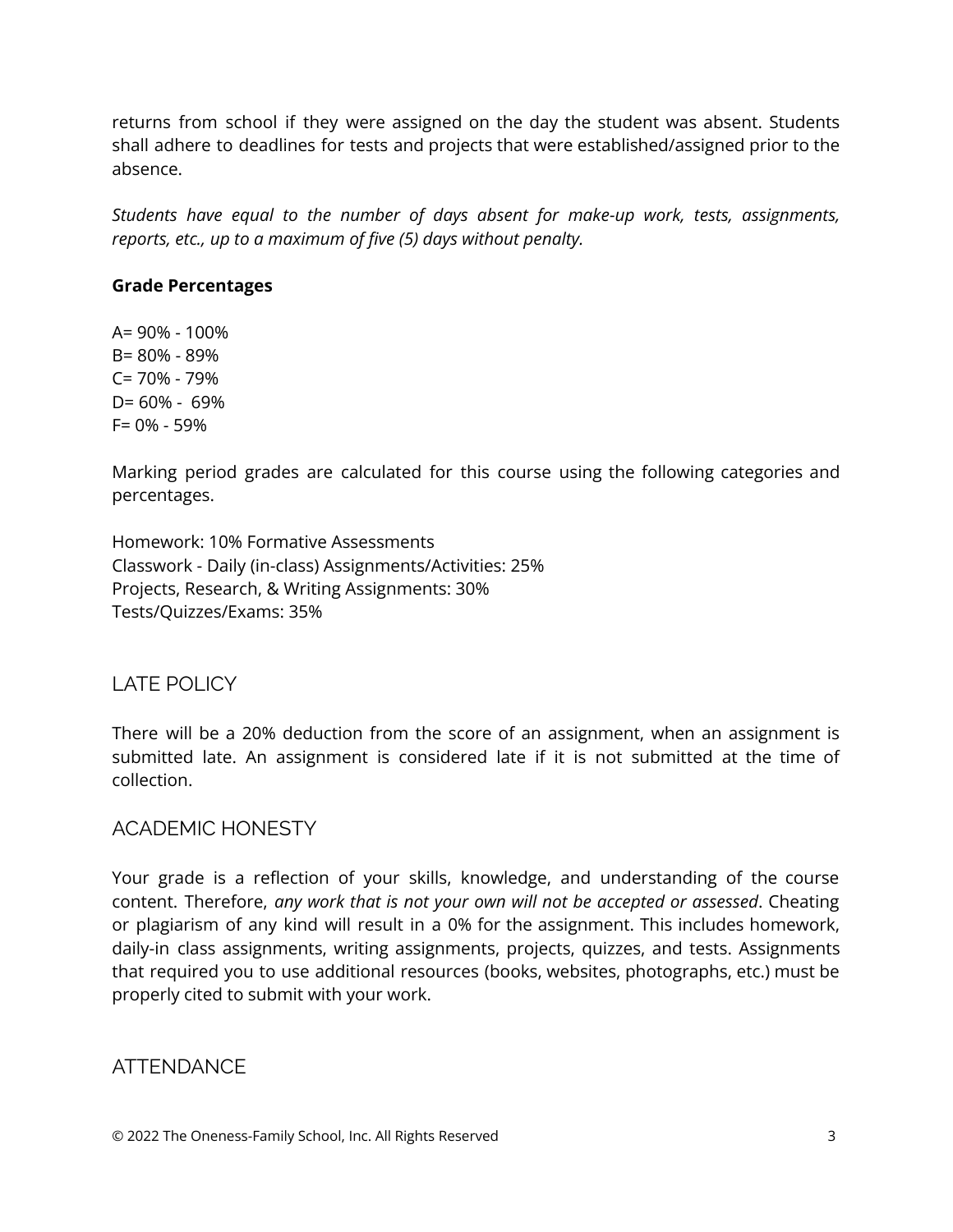returns from school if they were assigned on the day the student was absent. Students shall adhere to deadlines for tests and projects that were established/assigned prior to the absence.

*Students have equal to the number of days absent for make-up work, tests, assignments, reports, etc., up to a maximum of five (5) days without penalty.*

#### **Grade Percentages**

A= 90% - 100% B= 80% - 89% C= 70% - 79% D= 60% - 69% F= 0% - 59%

Marking period grades are calculated for this course using the following categories and percentages.

Homework: 10% Formative Assessments Classwork - Daily (in-class) Assignments/Activities: 25% Projects, Research, & Writing Assignments: 30% Tests/Quizzes/Exams: 35%

# LATE POLICY

There will be a 20% deduction from the score of an assignment, when an assignment is submitted late. An assignment is considered late if it is not submitted at the time of collection.

## ACADEMIC HONESTY

Your grade is a reflection of your skills, knowledge, and understanding of the course content. Therefore, *any work that is not your own will not be accepted or assessed*. Cheating or plagiarism of any kind will result in a 0% for the assignment. This includes homework, daily-in class assignments, writing assignments, projects, quizzes, and tests. Assignments that required you to use additional resources (books, websites, photographs, etc.) must be properly cited to submit with your work.

# ATTENDANCE